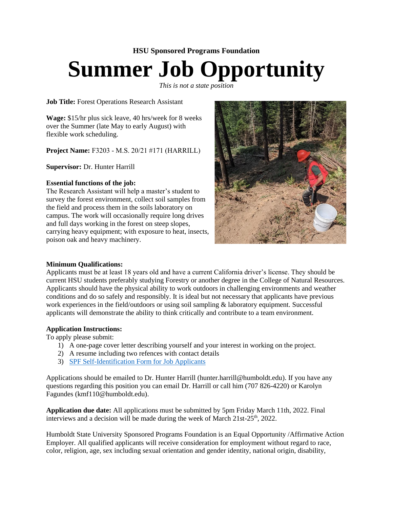## **HSU Sponsored Programs Foundation Summer Job Opportunity**

*This is not a state position* 

**Job Title:** Forest Operations Research Assistant

**Wage:** \$15/hr plus sick leave, 40 hrs/week for 8 weeks over the Summer (late May to early August) with flexible work scheduling.

**Project Name:** F3203 - M.S. 20/21 #171 (HARRILL)

**Supervisor:** Dr. Hunter Harrill

## **Essential functions of the job:**

The Research Assistant will help a master's student to survey the forest environment, collect soil samples from the field and process them in the soils laboratory on campus. The work will occasionally require long drives and full days working in the forest on steep slopes, carrying heavy equipment; with exposure to heat, insects, poison oak and heavy machinery.



## **Minimum Qualifications:**

Applicants must be at least 18 years old and have a current California driver's license. They should be current HSU students preferably studying Forestry or another degree in the College of Natural Resources. Applicants should have the physical ability to work outdoors in challenging environments and weather conditions and do so safely and responsibly. It is ideal but not necessary that applicants have previous work experiences in the field/outdoors or using soil sampling & laboratory equipment. Successful applicants will demonstrate the ability to think critically and contribute to a team environment.

## **Application Instructions:**

To apply please submit:

- 1) A one-page cover letter describing yourself and your interest in working on the project.
- 2) A resume including two refences with contact details
- 3) SPF [Self-Identification Form for Job Applicants](https://powerforms.docusign.net/8b66577f-ec4d-4383-bf26-8fbfe1b7d4c6?env=na3&acct=426c5ce4-817b-417a-a4f8-5b9e24a71e0f&accountId=426c5ce4-817b-417a-a4f8-5b9e24a71e0f)

Applications should be emailed to Dr. Hunter Harrill (hunter.harrill@humboldt.edu). If you have any questions regarding this position you can email Dr. Harrill or call him (707 826-4220) or Karolyn Fagundes (kmf110@humboldt.edu).

**Application due date:** All applications must be submitted by 5pm Friday March 11th, 2022. Final interviews and a decision will be made during the week of March  $21st-25<sup>th</sup>$ , 2022.

Humboldt State University Sponsored Programs Foundation is an Equal Opportunity /Affirmative Action Employer. All qualified applicants will receive consideration for employment without regard to race, color, religion, age, sex including sexual orientation and gender identity, national origin, disability,